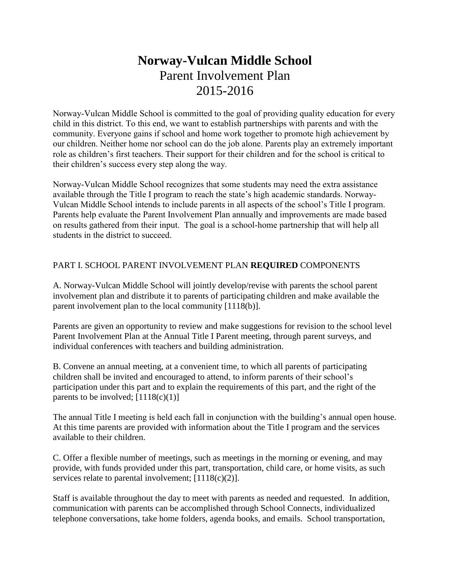# **Norway-Vulcan Middle School** Parent Involvement Plan 2015-2016

Norway-Vulcan Middle School is committed to the goal of providing quality education for every child in this district. To this end, we want to establish partnerships with parents and with the community. Everyone gains if school and home work together to promote high achievement by our children. Neither home nor school can do the job alone. Parents play an extremely important role as children's first teachers. Their support for their children and for the school is critical to their children's success every step along the way.

Norway-Vulcan Middle School recognizes that some students may need the extra assistance available through the Title I program to reach the state's high academic standards. Norway-Vulcan Middle School intends to include parents in all aspects of the school's Title I program. Parents help evaluate the Parent Involvement Plan annually and improvements are made based on results gathered from their input. The goal is a school-home partnership that will help all students in the district to succeed.

## PART I. SCHOOL PARENT INVOLVEMENT PLAN **REQUIRED** COMPONENTS

A. Norway-Vulcan Middle School will jointly develop/revise with parents the school parent involvement plan and distribute it to parents of participating children and make available the parent involvement plan to the local community [1118(b)].

Parents are given an opportunity to review and make suggestions for revision to the school level Parent Involvement Plan at the Annual Title I Parent meeting, through parent surveys, and individual conferences with teachers and building administration.

B. Convene an annual meeting, at a convenient time, to which all parents of participating children shall be invited and encouraged to attend, to inform parents of their school's participation under this part and to explain the requirements of this part, and the right of the parents to be involved;  $[1118(c)(1)]$ 

The annual Title I meeting is held each fall in conjunction with the building's annual open house. At this time parents are provided with information about the Title I program and the services available to their children.

C. Offer a flexible number of meetings, such as meetings in the morning or evening, and may provide, with funds provided under this part, transportation, child care, or home visits, as such services relate to parental involvement;  $[1118(c)(2)]$ .

Staff is available throughout the day to meet with parents as needed and requested. In addition, communication with parents can be accomplished through School Connects, individualized telephone conversations, take home folders, agenda books, and emails. School transportation,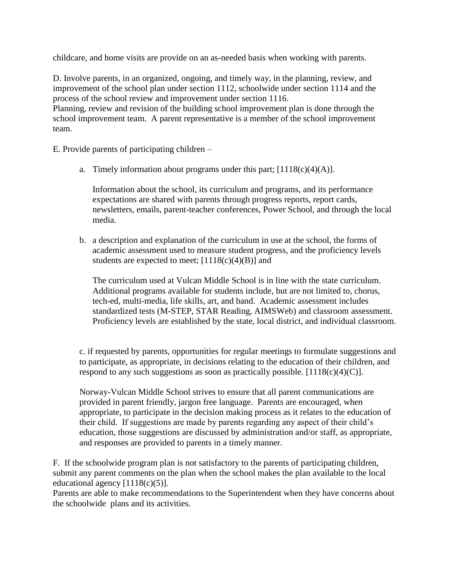childcare, and home visits are provide on an as-needed basis when working with parents.

D. Involve parents, in an organized, ongoing, and timely way, in the planning, review, and improvement of the school plan under section 1112, schoolwide under section 1114 and the process of the school review and improvement under section 1116.

Planning, review and revision of the building school improvement plan is done through the school improvement team. A parent representative is a member of the school improvement team.

E. Provide parents of participating children –

a. Timely information about programs under this part;  $[1118(c)(4)(A)].$ 

Information about the school, its curriculum and programs, and its performance expectations are shared with parents through progress reports, report cards, newsletters, emails, parent-teacher conferences, Power School, and through the local media.

b. a description and explanation of the curriculum in use at the school, the forms of academic assessment used to measure student progress, and the proficiency levels students are expected to meet;  $[1118(c)(4)(B)]$  and

The curriculum used at Vulcan Middle School is in line with the state curriculum. Additional programs available for students include, but are not limited to, chorus, tech-ed, multi-media, life skills, art, and band. Academic assessment includes standardized tests (M-STEP, STAR Reading, AIMSWeb) and classroom assessment. Proficiency levels are established by the state, local district, and individual classroom.

c. if requested by parents, opportunities for regular meetings to formulate suggestions and to participate, as appropriate, in decisions relating to the education of their children, and respond to any such suggestions as soon as practically possible.  $[1118(c)(4)(C)]$ .

Norway-Vulcan Middle School strives to ensure that all parent communications are provided in parent friendly, jargon free language. Parents are encouraged, when appropriate, to participate in the decision making process as it relates to the education of their child. If suggestions are made by parents regarding any aspect of their child's education, those suggestions are discussed by administration and/or staff, as appropriate, and responses are provided to parents in a timely manner.

F. If the schoolwide program plan is not satisfactory to the parents of participating children, submit any parent comments on the plan when the school makes the plan available to the local educational agency [1118(c)(5)].

Parents are able to make recommendations to the Superintendent when they have concerns about the schoolwide plans and its activities.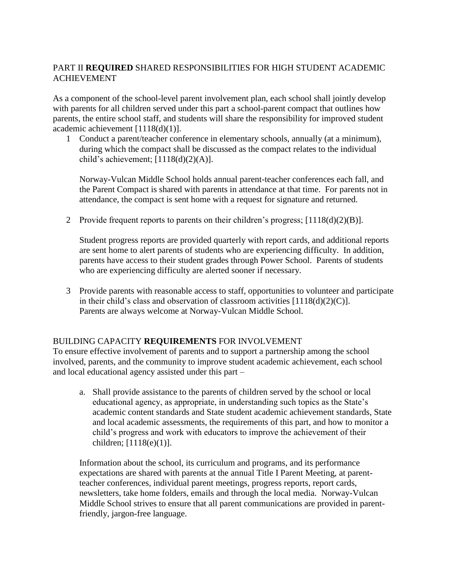# PART II **REQUIRED** SHARED RESPONSIBILITIES FOR HIGH STUDENT ACADEMIC ACHIEVEMENT

As a component of the school-level parent involvement plan, each school shall jointly develop with parents for all children served under this part a school-parent compact that outlines how parents, the entire school staff, and students will share the responsibility for improved student academic achievement [1118(d)(1)].

1 Conduct a parent/teacher conference in elementary schools, annually (at a minimum), during which the compact shall be discussed as the compact relates to the individual child's achievement; [1118(d)(2)(A)].

Norway-Vulcan Middle School holds annual parent-teacher conferences each fall, and the Parent Compact is shared with parents in attendance at that time. For parents not in attendance, the compact is sent home with a request for signature and returned.

2 Provide frequent reports to parents on their children's progress; [1118(d)(2)(B)].

Student progress reports are provided quarterly with report cards, and additional reports are sent home to alert parents of students who are experiencing difficulty. In addition, parents have access to their student grades through Power School. Parents of students who are experiencing difficulty are alerted sooner if necessary.

3 Provide parents with reasonable access to staff, opportunities to volunteer and participate in their child's class and observation of classroom activities  $[1118(d)(2)(C)]$ . Parents are always welcome at Norway-Vulcan Middle School.

#### BUILDING CAPACITY **REQUIREMENTS** FOR INVOLVEMENT

To ensure effective involvement of parents and to support a partnership among the school involved, parents, and the community to improve student academic achievement, each school and local educational agency assisted under this part –

a. Shall provide assistance to the parents of children served by the school or local educational agency, as appropriate, in understanding such topics as the State's academic content standards and State student academic achievement standards, State and local academic assessments, the requirements of this part, and how to monitor a child's progress and work with educators to improve the achievement of their children; [1118(e)(1)].

Information about the school, its curriculum and programs, and its performance expectations are shared with parents at the annual Title I Parent Meeting, at parentteacher conferences, individual parent meetings, progress reports, report cards, newsletters, take home folders, emails and through the local media. Norway-Vulcan Middle School strives to ensure that all parent communications are provided in parentfriendly, jargon-free language.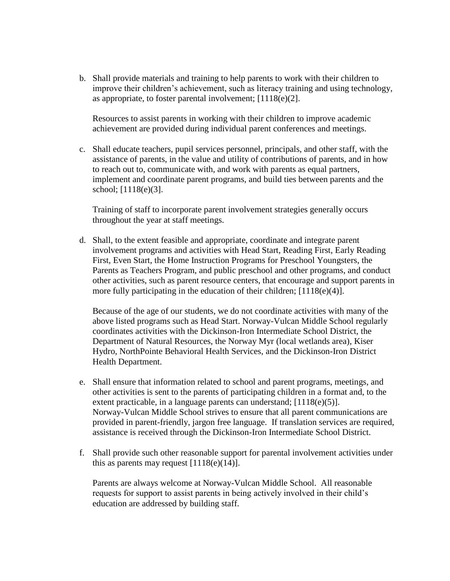b. Shall provide materials and training to help parents to work with their children to improve their children's achievement, such as literacy training and using technology, as appropriate, to foster parental involvement; [1118(e)(2].

Resources to assist parents in working with their children to improve academic achievement are provided during individual parent conferences and meetings.

c. Shall educate teachers, pupil services personnel, principals, and other staff, with the assistance of parents, in the value and utility of contributions of parents, and in how to reach out to, communicate with, and work with parents as equal partners, implement and coordinate parent programs, and build ties between parents and the school; [1118(e)(3].

Training of staff to incorporate parent involvement strategies generally occurs throughout the year at staff meetings.

d. Shall, to the extent feasible and appropriate, coordinate and integrate parent involvement programs and activities with Head Start, Reading First, Early Reading First, Even Start, the Home Instruction Programs for Preschool Youngsters, the Parents as Teachers Program, and public preschool and other programs, and conduct other activities, such as parent resource centers, that encourage and support parents in more fully participating in the education of their children; [1118(e)(4)].

Because of the age of our students, we do not coordinate activities with many of the above listed programs such as Head Start. Norway-Vulcan Middle School regularly coordinates activities with the Dickinson-Iron Intermediate School District, the Department of Natural Resources, the Norway Myr (local wetlands area), Kiser Hydro, NorthPointe Behavioral Health Services, and the Dickinson-Iron District Health Department.

- e. Shall ensure that information related to school and parent programs, meetings, and other activities is sent to the parents of participating children in a format and, to the extent practicable, in a language parents can understand; [1118(e)(5)]. Norway-Vulcan Middle School strives to ensure that all parent communications are provided in parent-friendly, jargon free language. If translation services are required, assistance is received through the Dickinson-Iron Intermediate School District.
- f. Shall provide such other reasonable support for parental involvement activities under this as parents may request  $[1118(e)(14)].$

Parents are always welcome at Norway-Vulcan Middle School. All reasonable requests for support to assist parents in being actively involved in their child's education are addressed by building staff.